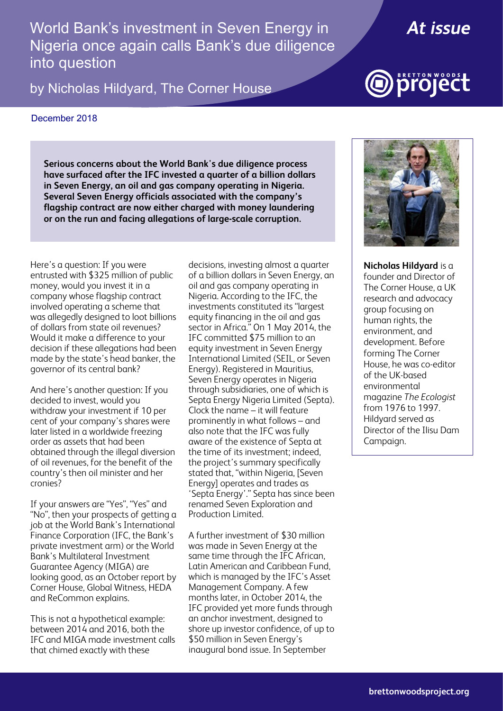World Bank's investment in Seven Energy in Nigeria once again calls Bank's due diligence<br>... into question

by Nicholas Hildyard, The Corner House



# project

#### December 2018

**Serious concerns about the World Bank's due diligence process have surfaced after the IFC invested a quarter of a billion dollars in Seven Energy, an oil and gas company operating in Nigeria. Several Seven Energy officials associated with the company's flagship contract are now either charged with money laundering or on the run and facing allegations of large-scale corruption.**

Here's a question: If you were entrusted with \$325 million of public money, would you invest it in a company whose flagship contract involved operating a scheme that was allegedly designed to loot billions of dollars from state oil revenues? Would it make a difference to your decision if these allegations had been made by the state's head banker, the governor of its central bank?

And here's another question: If you decided to invest, would you withdraw your investment if 10 per cent of your company's shares were later listed in a worldwide freezing order as assets that had been obtained through the illegal diversion of oil revenues, for the benefit of the country's then oil minister and her cronies?

If your answers are "Yes", "Yes" and "No", then your prospects of getting a job at the World Bank's International Finance Corporation (IFC, the Bank's private investment arm) or the World Bank's Multilateral Investment Guarantee Agency (MIGA) are looking good, as an October report by Corner House, Global Witness, HEDA and ReCommon explains.

This is not a hypothetical example: between 2014 and 2016, both the IFC and MIGA made investment calls that chimed exactly with these

decisions, investing almost a quarter of a billion dollars in Seven Energy, an oil and gas company operating in Nigeria. According to the IFC, the investments constituted its "largest equity financing in the oil and gas sector in Africa." On 1 May 2014, the IFC committed \$75 million to an equity investment in Seven Energy International Limited (SEIL, or Seven Energy). Registered in Mauritius, Seven Energy operates in Nigeria through subsidiaries, one of which is Septa Energy Nigeria Limited (Septa). Clock the name – it will feature prominently in what follows – and also note that the IFC was fully aware of the existence of Septa at the time of its investment; indeed, the project's summary specifically stated that, "within Nigeria, [Seven Energy] operates and trades as 'Septa Energy'." Septa has since been renamed Seven Exploration and Production Limited.

A further investment of \$30 million was made in Seven Energy at the same time through the IFC African, Latin American and Caribbean Fund, which is managed by the IFC's Asset Management Company. A few months later, in October 2014, the IFC provided yet more funds through an anchor investment, designed to shore up investor confidence, of up to \$50 million in Seven Energy's inaugural bond issue. In September



**Nicholas Hildyard** is a founder and Director of The Corner House, a UK research and advocacy group focusing on human rights, the environment, and development. Before forming The Corner House, he was co-editor of the UK-based environmental magazine *The Ecologist* from 1976 to 1997. Hildyard served as Director of the Ilisu Dam Campaign.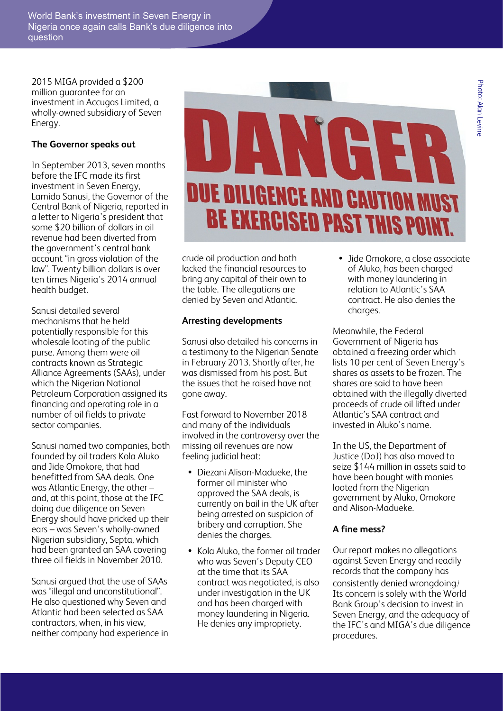2015 MIGA provided a \$200 million guarantee for an investment in Accugas Limited, a wholly-owned subsidiary of Seven Energy.

#### **The Governor speaks out**

In September 2013, seven months before the IFC made its first investment in Seven Energy, Lamido Sanusi, the Governor of the Central Bank of Nigeria, reported in a letter to Nigeria's president that some \$20 billion of dollars in oil revenue had been diverted from the government's central bank account "in gross violation of the law". Twenty billion dollars is over ten times Nigeria's 2014 annual health budget.

Sanusi detailed several mechanisms that he held potentially responsible for this wholesale looting of the public purse. Among them were oil contracts known as Strategic Alliance Agreements (SAAs), under which the Nigerian National Petroleum Corporation assigned its financing and operating role in a number of oil fields to private sector companies.

Sanusi named two companies, both founded by oil traders Kola Aluko and Jide Omokore, that had benefitted from SAA deals. One was Atlantic Energy, the other – and, at this point, those at the IFC doing due diligence on Seven Energy should have pricked up their ears – was Seven's wholly-owned Nigerian subsidiary, Septa, which had been granted an SAA covering three oil fields in November 2010.

Sanusi argued that the use of SAAs was "illegal and unconstitutional". He also questioned why Seven and Atlantic had been selected as SAA contractors, when, in his view, neither company had experience in



crude oil production and both lacked the financial resources to bring any capital of their own to the table. The allegations are denied by Seven and Atlantic.

#### **Arresting developments**

Sanusi also detailed his concerns in a testimony to the Nigerian Senate in February 2013. Shortly after, he was dismissed from his post. But the issues that he raised have not gone away.

Fast forward to November 2018 and many of the individuals involved in the controversy over the missing oil revenues are now feeling judicial heat:

- Diezani Alison-Madueke, the former oil minister who approved the SAA deals, is currently on bail in the UK after being arrested on suspicion of bribery and corruption. She denies the charges.
- Kola Aluko, the former oil trader who was Seven's Deputy CEO at the time that its SAA contract was negotiated, is also under investigation in the UK and has been charged with money laundering in Nigeria. He denies any impropriety.

• Jide Omokore, a close associate of Aluko, has been charged with money laundering in relation to Atlantic's SAA contract. He also denies the charges.

Meanwhile, the Federal Government of Nigeria has obtained a freezing order which lists 10 per cent of Seven Energy's shares as assets to be frozen. The shares are said to have been obtained with the illegally diverted proceeds of crude oil lifted under Atlantic's SAA contract and invested in Aluko's name.

In the US, the Department of Justice (DoJ) has also moved to seize \$144 million in assets said to have been bought with monies looted from the Nigerian government by Aluko, Omokore and Alison-Madueke.

### **A fine mess?**

Our report makes no allegations against Seven Energy and readily records that the company has consistently denied wrongdoing.<sup>i</sup> Its concern is solely with the World Bank Group's decision to invest in Seven Energy, and the adequacy of the IFC's and MIGA's due diligence procedures.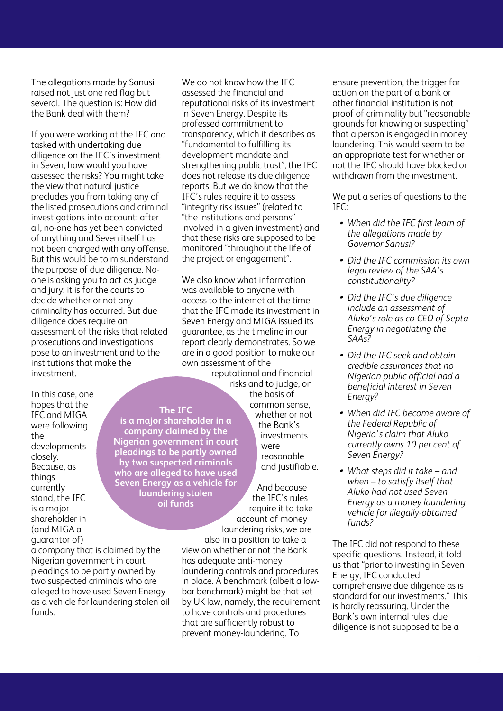The allegations made by Sanusi raised not just one red flag but several. The question is: How did the Bank deal with them?

If you were working at the IFC and tasked with undertaking due diligence on the IFC's investment in Seven, how would you have assessed the risks? You might take the view that natural justice precludes you from taking any of the listed prosecutions and criminal investigations into account: after all, no-one has yet been convicted of anything and Seven itself has not been charged with any offense. But this would be to misunderstand the purpose of due diligence. Noone is asking you to act as judge and jury: it is for the courts to decide whether or not any criminality has occurred. But due diligence does require an assessment of the risks that related prosecutions and investigations pose to an investment and to the institutions that make the investment.

In this case, one hopes that the IFC and MIGA were following the developments closely. Because, as things currently stand, the IFC is a major shareholder in (and MIGA a quarantor of)

a company that is claimed by the Nigerian government in court pleadings to be partly owned by two suspected criminals who are alleged to have used Seven Energy as a vehicle for laundering stolen oil funds.

We do not know how the IFC assessed the financial and reputational risks of its investment in Seven Energy. Despite its professed commitment to transparency, which it describes as "fundamental to fulfilling its development mandate and strengthening public trust", the IFC does not release its due diligence reports. But we do know that the IFC's rules require it to assess "integrity risk issues" (related to "the institutions and persons" involved in a given investment) and that these risks are supposed to be monitored "throughout the life of the project or engagement".

We also know what information was available to anyone with access to the internet at the time that the IFC made its investment in Seven Energy and MIGA issued its guarantee, as the timeline in our report clearly demonstrates. So we are in a good position to make our own assessment of the

reputational and financial risks and to judge, on the basis of common sense, whether or not the Bank's investments were reasonable and justifiable.

And because the IFC's rules require it to take account of money laundering risks, we are

also in a position to take a view on whether or not the Bank has adequate anti-money laundering controls and procedures in place. A benchmark (albeit a lowbar benchmark) might be that set by UK law, namely, the requirement to have controls and procedures that are sufficiently robust to prevent money-laundering. To

ensure prevention, the trigger for action on the part of a bank or other financial institution is not proof of criminality but "reasonable grounds for knowing or suspecting" that a person is engaged in money laundering. This would seem to be an appropriate test for whether or not the IFC should have blocked or withdrawn from the investment.

We put a series of questions to the  $IFC$ 

- *When did the IFC first learn of the allegations made by Governor Sanusi?*
- *Did the IFC commission its own legal review of the SAA's constitutionality?*
- *Did the IFC's due diligence include an assessment of Aluko's role as co-CEO of Septa Energy in negotiating the SAAs?*
- *Did the IFC seek and obtain credible assurances that no Nigerian public official had a beneficial interest in Seven Energy?*
- *When did IFC become aware of the Federal Republic of Nigeria's claim that Aluko currently owns 10 per cent of Seven Energy?*
- *What steps did it take and when – to satisfy itself that Aluko had not used Seven Energy as a money laundering vehicle for illegally-obtained funds?*

The IFC did not respond to these specific questions. Instead, it told us that "prior to investing in Seven Energy, IFC conducted comprehensive due diligence as is standard for our investments." This is hardly reassuring. Under the Bank's own internal rules, due diligence is not supposed to be a

## **The IFC**

**is a major shareholder in a company claimed by the Nigerian government in court pleadings to be partly owned by two suspected criminals who are alleged to have used Seven Energy as a vehicle for laundering stolen oil funds**